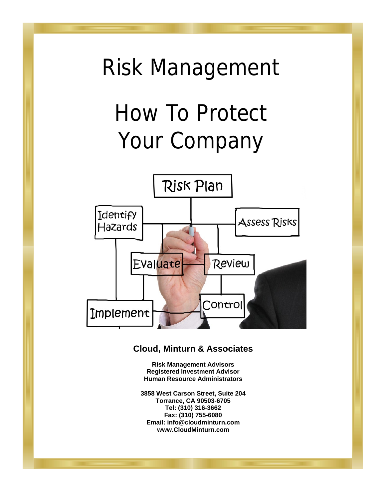# Risk Management How To Protect Your Company



### **Cloud, Minturn & Associates**

**Risk Management Advisors Registered Investment Advisor Human Resource Administrators** 

**3858 West Carson Street, Suite 204 Torrance, CA 90503-6705 Tel: (310) 316-3662 Fax: (310) 755-6080 Email: info@cloudminturn.com www.CloudMinturn.com**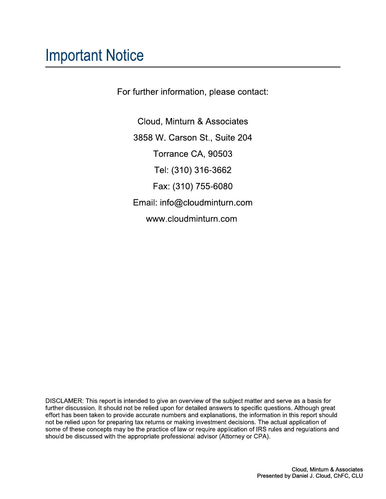### **Important Notice**

For further information, please contact:

Cloud, Minturn & Associates 3858 W. Carson St., Suite 204 Torrance CA, 90503 Tel: (310) 316-3662 Fax: (310) 755-6080 Email: info@cloudminturn.com www.cloudminturn.com

DISCLAMER: This report is intended to give an overview of the subject matter and serve as a basis for further discussion. It should not be relied upon for detailed answers to specific questions. Although great effort has been taken to provide accurate numbers and explanations, the information in this report should not be relied upon for preparing tax returns or making investment decisions. The actual application of some of these concepts may be the practice of law or require application of IRS rules and regulations and should be discussed with the appropriate professional advisor (Attorney or CPA).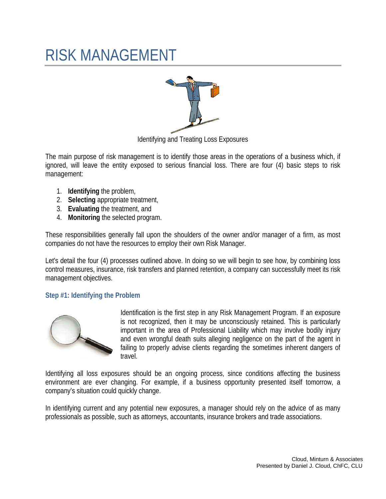## RISK MANAGEMENT



Identifying and Treating Loss Exposures

The main purpose of risk management is to identify those areas in the operations of a business which, if ignored, will leave the entity exposed to serious financial loss. There are four (4) basic steps to risk management:

- 1. **Identifying** the problem,
- 2. **Selecting** appropriate treatment,
- 3. **Evaluating** the treatment, and
- 4. **Monitoring** the selected program.

These responsibilities generally fall upon the shoulders of the owner and/or manager of a firm, as most companies do not have the resources to employ their own Risk Manager.

Let's detail the four (4) processes outlined above. In doing so we will begin to see how, by combining loss control measures, insurance, risk transfers and planned retention, a company can successfully meet its risk management objectives.

### **Step #1: Identifying the Problem**



Identification is the first step in any Risk Management Program. If an exposure is not recognized, then it may be unconsciously retained. This is particularly important in the area of Professional Liability which may involve bodily injury and even wrongful death suits alleging negligence on the part of the agent in failing to properly advise clients regarding the sometimes inherent dangers of travel.

Identifying all loss exposures should be an ongoing process, since conditions affecting the business environment are ever changing. For example, if a business opportunity presented itself tomorrow, a company's situation could quickly change.

In identifying current and any potential new exposures, a manager should rely on the advice of as many professionals as possible, such as attorneys, accountants, insurance brokers and trade associations.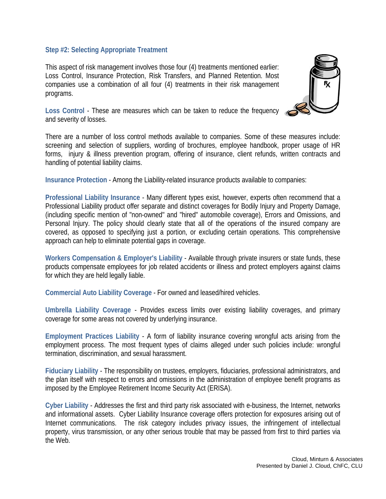#### **Step #2: Selecting Appropriate Treatment**

This aspect of risk management involves those four (4) treatments mentioned earlier: Loss Control, Insurance Protection, Risk Transfers, and Planned Retention. Most companies use a combination of all four (4) treatments in their risk management programs.



**Loss Control** - These are measures which can be taken to reduce the frequency and severity of losses.

There are a number of loss control methods available to companies. Some of these measures include: screening and selection of suppliers, wording of brochures, employee handbook, proper usage of HR forms, injury & illness prevention program, offering of insurance, client refunds, written contracts and handling of potential liability claims.

**Insurance Protection** - Among the Liability-related insurance products available to companies:

**Professional Liability Insurance** - Many different types exist, however, experts often recommend that a Professional Liability product offer separate and distinct coverages for Bodily Injury and Property Damage, (including specific mention of "non-owned" and "hired" automobile coverage), Errors and Omissions, and Personal Injury. The policy should clearly state that all of the operations of the insured company are covered, as opposed to specifying just a portion, or excluding certain operations. This comprehensive approach can help to eliminate potential gaps in coverage.

**Workers Compensation & Employer's Liability** - Available through private insurers or state funds, these products compensate employees for job related accidents or illness and protect employers against claims for which they are held legally liable.

**Commercial Auto Liability Coverage** - For owned and leased/hired vehicles.

**Umbrella Liability Coverage** - Provides excess limits over existing liability coverages, and primary coverage for some areas not covered by underlying insurance.

**Employment Practices Liability** - A form of liability insurance covering wrongful acts arising from the employment process. The most frequent types of claims alleged under such policies include: wrongful termination, discrimination, and sexual harassment.

**Fiduciary Liability** - The responsibility on trustees, employers, fiduciaries, professional administrators, and the plan itself with respect to errors and omissions in the administration of employee benefit programs as imposed by the Employee Retirement Income Security Act (ERISA).

**Cyber Liability** - Addresses the first and third party risk associated with e-business, the Internet, networks and informational assets. Cyber Liability Insurance coverage offers protection for exposures arising out of Internet communications. The risk category includes privacy issues, the infringement of intellectual property, virus transmission, or any other serious trouble that may be passed from first to third parties via the Web.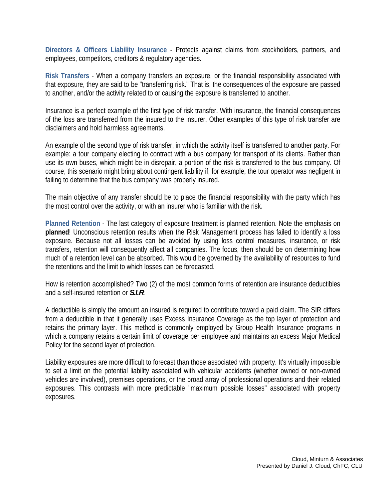**Directors & Officers Liability Insurance** - Protects against claims from stockholders, partners, and employees, competitors, creditors & regulatory agencies.

**Risk Transfers** - When a company transfers an exposure, or the financial responsibility associated with that exposure, they are said to be "transferring risk." That is, the consequences of the exposure are passed to another, and/or the activity related to or causing the exposure is transferred to another.

Insurance is a perfect example of the first type of risk transfer. With insurance, the financial consequences of the loss are transferred from the insured to the insurer. Other examples of this type of risk transfer are disclaimers and hold harmless agreements.

An example of the second type of risk transfer, in which the activity itself is transferred to another party. For example: a tour company electing to contract with a bus company for transport of its clients. Rather than use its own buses, which might be in disrepair, a portion of the risk is transferred to the bus company. Of course, this scenario might bring about contingent liability if, for example, the tour operator was negligent in failing to determine that the bus company was properly insured.

The main objective of any transfer should be to place the financial responsibility with the party which has the most control over the activity, or with an insurer who is familiar with the risk.

**Planned Retention** - The last category of exposure treatment is planned retention. Note the emphasis on **planned**! Unconscious retention results when the Risk Management process has failed to identify a loss exposure. Because not all losses can be avoided by using loss control measures, insurance, or risk transfers, retention will consequently affect all companies. The focus, then should be on determining how much of a retention level can be absorbed. This would be governed by the availability of resources to fund the retentions and the limit to which losses can be forecasted.

How is retention accomplished? Two (2) of the most common forms of retention are insurance deductibles and a self-insured retention or *S.I.R*.

A deductible is simply the amount an insured is required to contribute toward a paid claim. The SIR differs from a deductible in that it generally uses Excess Insurance Coverage as the top layer of protection and retains the primary layer. This method is commonly employed by Group Health Insurance programs in which a company retains a certain limit of coverage per employee and maintains an excess Major Medical Policy for the second layer of protection.

Liability exposures are more difficult to forecast than those associated with property. It's virtually impossible to set a limit on the potential liability associated with vehicular accidents (whether owned or non-owned vehicles are involved), premises operations, or the broad array of professional operations and their related exposures. This contrasts with more predictable "maximum possible losses" associated with property exposures.